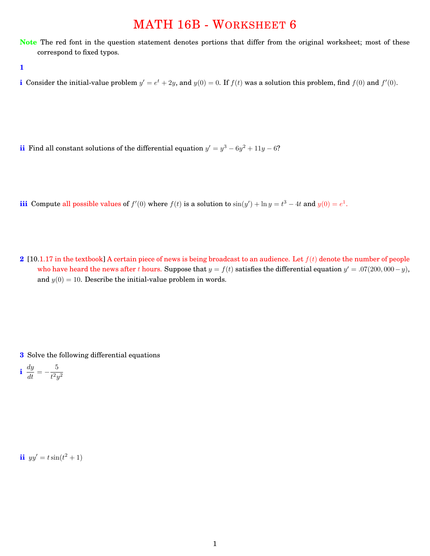## MATH 16B - WORKSHEET 6

**Note** The red font in the question statement denotes portions that differ from the original worksheet; most of these correspond to fixed typos.

**1**

**i** Consider the initial-value problem  $y' = e^t + 2y$ , and  $y(0) = 0$ . If  $f(t)$  was a solution this problem, find  $f(0)$  and  $f'(0)$ .

**ii** Find all constant solutions of the differential equation  $y' = y^3 - 6y^2 + 11y - 6$ ?

**iii** Compute all possible values of  $f'(0)$  where  $f(t)$  is a solution to  $\sin(y') + \ln y = t^3 - 4t$  and  $y(0) = e^1$ .

**2** [10.1.17 in the textbook] A certain piece of news is being broadcast to an audience. Let *f*(*t*) denote the number of people who have heard the news after *t* hours. Suppose that  $y = f(t)$  satisfies the differential equation  $y' = .07(200,000 - y)$ , and  $y(0) = 10$ . Describe the initial-value problem in words.

**3** Solve the following differential equations

**i**  $\frac{dy}{dt} = -\frac{5}{t^2y^2}$ 

**ii**  $yy' = t \sin(t^2 + 1)$